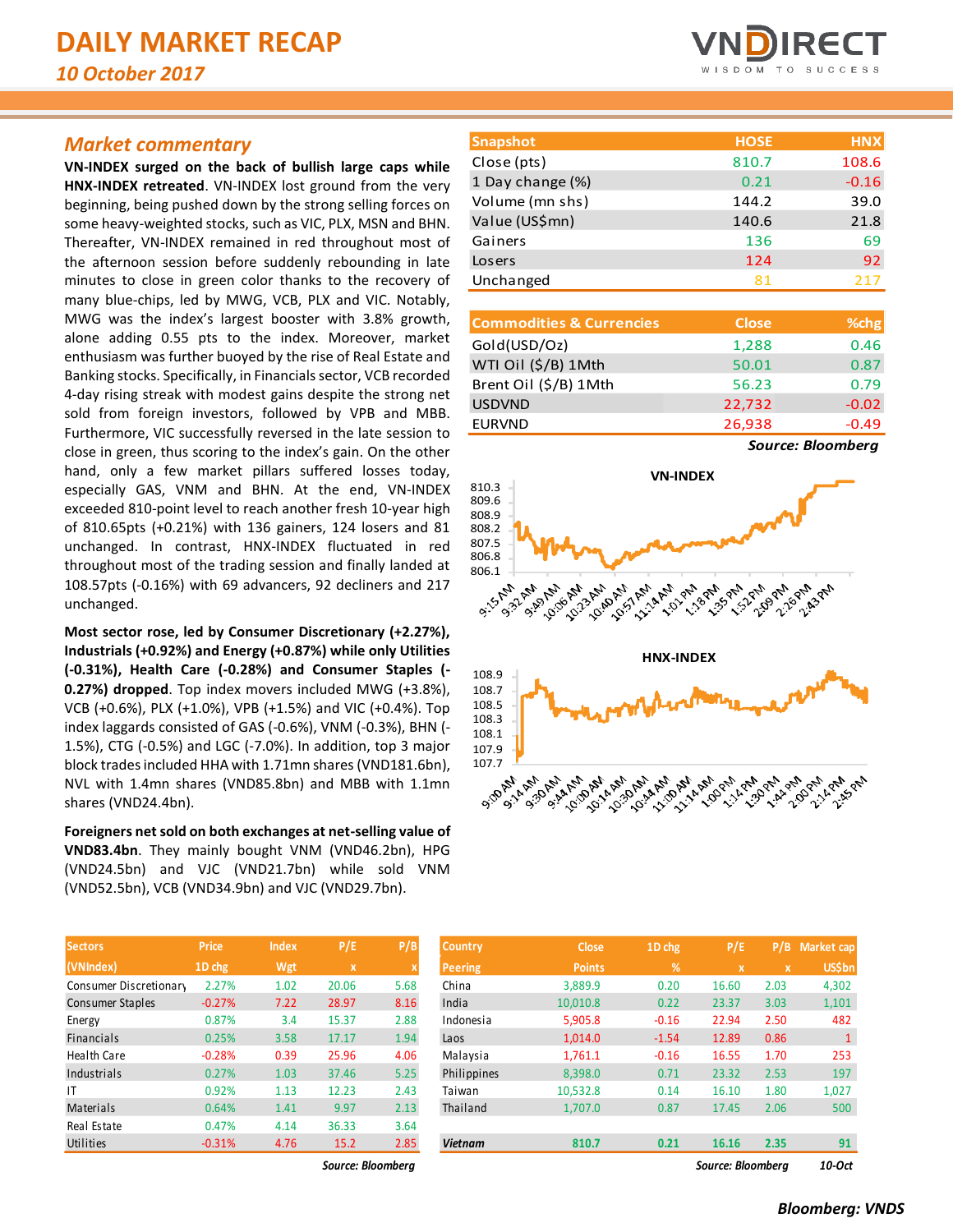# *Market commentary*

**VN-INDEX surged on the back of bullish large caps while HNX-INDEX retreated**. VN-INDEX lost ground from the very beginning, being pushed down by the strong selling forces on some heavy-weighted stocks, such as VIC, PLX, MSN and BHN. Thereafter, VN-INDEX remained in red throughout most of the afternoon session before suddenly rebounding in late minutes to close in green color thanks to the recovery of many blue-chips, led by MWG, VCB, PLX and VIC. Notably, MWG was the index's largest booster with 3.8% growth, alone adding 0.55 pts to the index. Moreover, market enthusiasm was further buoyed by the rise of Real Estate and Banking stocks. Specifically, in Financials sector, VCB recorded 4-day rising streak with modest gains despite the strong net sold from foreign investors, followed by VPB and MBB. Furthermore, VIC successfully reversed in the late session to close in green, thus scoring to the index's gain. On the other hand, only a few market pillars suffered losses today, especially GAS, VNM and BHN. At the end, VN-INDEX exceeded 810-point level to reach another fresh 10-year high of 810.65pts (+0.21%) with 136 gainers, 124 losers and 81 unchanged. In contrast, HNX-INDEX fluctuated in red throughout most of the trading session and finally landed at 108.57pts (-0.16%) with 69 advancers, 92 decliners and 217 unchanged.

**Most sector rose, led by Consumer Discretionary (+2.27%), Industrials (+0.92%) and Energy (+0.87%) while only Utilities (-0.31%), Health Care (-0.28%) and Consumer Staples (- 0.27%) dropped**. Top index movers included MWG (+3.8%), VCB (+0.6%), PLX (+1.0%), VPB (+1.5%) and VIC (+0.4%). Top index laggards consisted of GAS (-0.6%), VNM (-0.3%), BHN (- 1.5%), CTG (-0.5%) and LGC (-7.0%). In addition, top 3 major block trades included HHA with 1.71mn shares(VND181.6bn), NVL with 1.4mn shares (VND85.8bn) and MBB with 1.1mn shares (VND24.4bn).

**Foreigners net sold on both exchanges at net-selling value of VND83.4bn**. They mainly bought VNM (VND46.2bn), HPG (VND24.5bn) and VJC (VND21.7bn) while sold VNM (VND52.5bn), VCB (VND34.9bn) and VJC (VND29.7bn).

| <b>Sectors</b>          | <b>Price</b> | <b>Index</b> | P/E         | P/B                       |
|-------------------------|--------------|--------------|-------------|---------------------------|
| (VNIndex)               | 1D chg       | Wgt          | $\mathbf x$ | $\boldsymbol{\mathsf{x}}$ |
| Consumer Discretionary  | 2.27%        | 1.02         | 20.06       | 5.68                      |
| <b>Consumer Staples</b> | $-0.27%$     | 7.22         | 28.97       | 8.16                      |
| Energy                  | 0.87%        | 3.4          | 15.37       | 2.88                      |
| <b>Financials</b>       | 0.25%        | 3.58         | 17.17       | 1.94                      |
| <b>Health Care</b>      | $-0.28%$     | 0.39         | 25.96       | 4.06                      |
| Industrials             | 0.27%        | 1.03         | 37.46       | 5.25                      |
| ΙT                      | 0.92%        | 1.13         | 12.23       | 2.43                      |
| Materials               | 0.64%        | 1.41         | 9.97        | 2.13                      |
| Real Estate             | 0.47%        | 4.14         | 36.33       | 3.64                      |
| Utilities               | $-0.31%$     | 4.76         | 15.2        | 2.85                      |



| <b>Snapshot</b>  | <b>HOSE</b> | <b>HNX</b> |
|------------------|-------------|------------|
| Close (pts)      | 810.7       | 108.6      |
| 1 Day change (%) | 0.21        | $-0.16$    |
| Volume (mn shs)  | 144.2       | 39.0       |
| Value (US\$mn)   | 140.6       | 21.8       |
| Gainers          | 136         | 69         |
| Losers           | 124         | 92         |
| Unchanged        | 81          | 217        |

| <b>Commodities &amp; Currencies</b> | <b>Close</b> | %chg    |
|-------------------------------------|--------------|---------|
| Gold(USD/Oz)                        | 1,288        | 0.46    |
| WTI Oil (\$/B) 1Mth                 | 50.01        | 0.87    |
| Brent Oil (\$/B) 1Mth               | 56.23        | 0.79    |
| <b>USDVND</b>                       | 22,732       | $-0.02$ |
| <b>EURVND</b>                       | 26,938       | $-0.49$ |
|                                     |              |         |

*Source: Bloomberg*



| <b>Sectors</b>         | Price    | <b>Index</b> | P/E               | P/B  | Country        | <b>Close</b>  | 1D chg  | P/E               | P/B          | <b>Market cap</b> |
|------------------------|----------|--------------|-------------------|------|----------------|---------------|---------|-------------------|--------------|-------------------|
| (VNIndex)              | 1D chg   | Wgt          | $\mathbf{x}$      | x    | <b>Peering</b> | <b>Points</b> | %       | x                 | $\mathbf{x}$ | <b>US\$bn</b>     |
| Consumer Discretionary | 2.27%    | 1.02         | 20.06             | 5.68 | China          | 3.889.9       | 0.20    | 16.60             | 2.03         | 4,302             |
| Consumer Staples       | $-0.27%$ | 7.22         | 28.97             | 8.16 | India          | 10,010.8      | 0.22    | 23.37             | 3.03         | 1,101             |
| Energy                 | 0.87%    | 3.4          | 15.37             | 2.88 | Indonesia      | 5,905.8       | $-0.16$ | 22.94             | 2.50         | 482               |
| <b>Financials</b>      | 0.25%    | 3.58         | 17.17             | 1.94 | Laos           | 1,014.0       | $-1.54$ | 12.89             | 0.86         |                   |
| Health Care            | $-0.28%$ | 0.39         | 25.96             | 4.06 | Malaysia       | 1,761.1       | $-0.16$ | 16.55             | 1.70         | 253               |
| Industrials            | 0.27%    | 1.03         | 37.46             | 5.25 | Philippines    | 8,398.0       | 0.71    | 23.32             | 2.53         | 197               |
| T                      | 0.92%    | 1.13         | 12.23             | 2.43 | Taiwan         | 10,532.8      | 0.14    | 16.10             | 1.80         | 1,027             |
| Materials              | 0.64%    | 1.41         | 9.97              | 2.13 | Thailand       | 1,707.0       | 0.87    | 17.45             | 2.06         | 500               |
| Real Estate            | 0.47%    | 4.14         | 36.33             | 3.64 |                |               |         |                   |              |                   |
| Utilities              | $-0.31%$ | 4.76         | 15.2              | 2.85 | <b>Vietnam</b> | 810.7         | 0.21    | 16.16             | 2.35         | 91                |
|                        |          |              | Source: Bloomberg |      |                |               |         | Source: Bloombera |              | 10-Oct            |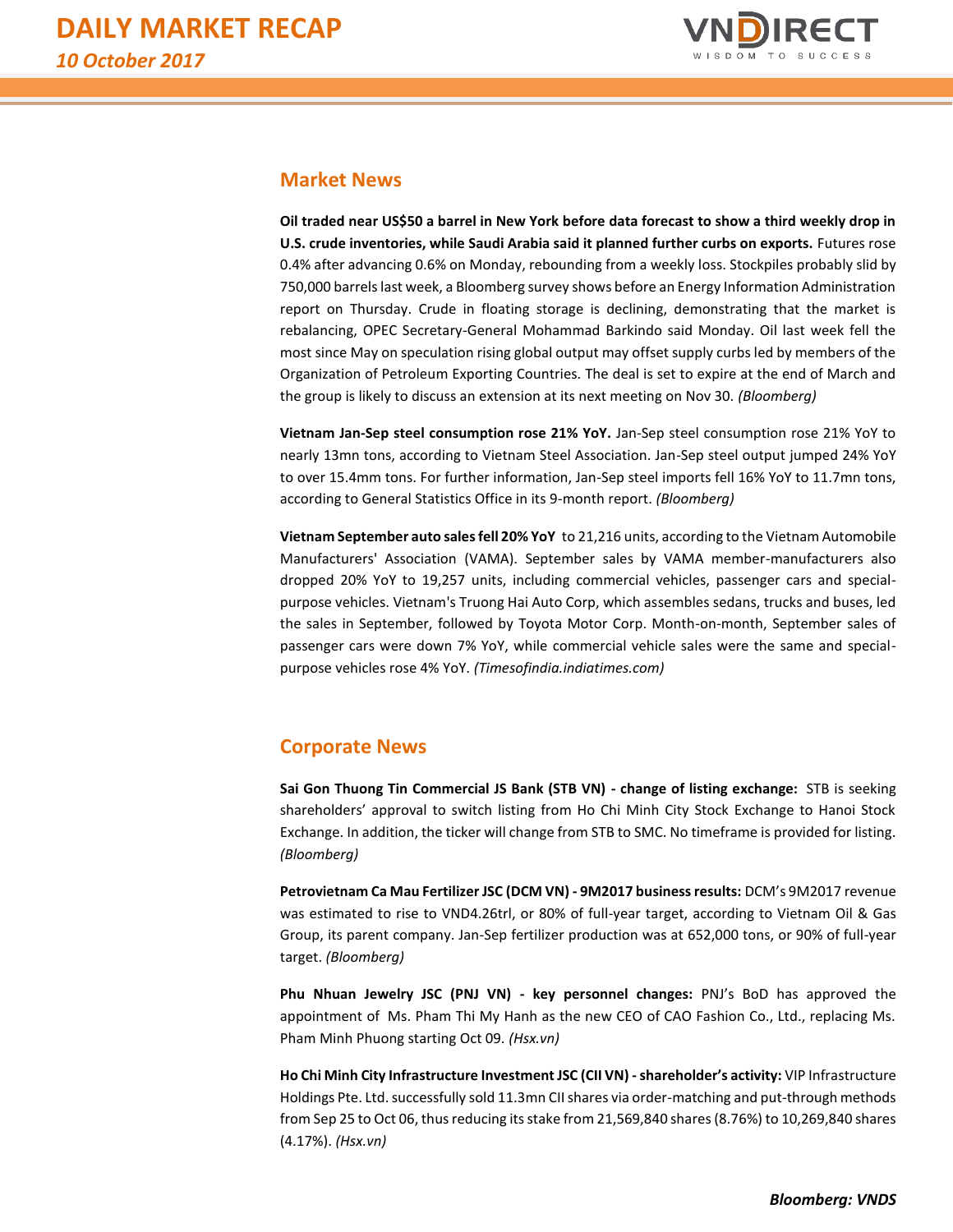

# **Market News**

**Oil traded near US\$50 a barrel in New York before data forecast to show a third weekly drop in U.S. crude inventories, while Saudi Arabia said it planned further curbs on exports.** Futures rose 0.4% after advancing 0.6% on Monday, rebounding from a weekly loss. Stockpiles probably slid by 750,000 barrels last week, a Bloomberg survey shows before an Energy Information Administration report on Thursday. Crude in floating storage is declining, demonstrating that the market is rebalancing, OPEC Secretary-General Mohammad Barkindo said Monday. Oil last week fell the most since May on speculation rising global output may offset supply curbs led by members of the Organization of Petroleum Exporting Countries. The deal is set to expire at the end of March and the group is likely to discuss an extension at its next meeting on Nov 30. *(Bloomberg)*

**Vietnam Jan-Sep steel consumption rose 21% YoY.** Jan-Sep steel consumption rose 21% YoY to nearly 13mn tons, according to Vietnam Steel Association. Jan-Sep steel output jumped 24% YoY to over 15.4mm tons. For further information, Jan-Sep steel imports fell 16% YoY to 11.7mn tons, according to General Statistics Office in its 9-month report. *(Bloomberg)*

**Vietnam September auto sales fell 20% YoY** to 21,216 units, according to the Vietnam Automobile Manufacturers' Association (VAMA). September sales by VAMA member-manufacturers also dropped 20% YoY to 19,257 units, including commercial vehicles, passenger cars and specialpurpose vehicles. Vietnam's Truong Hai Auto Corp, which assembles sedans, trucks and buses, led the sales in September, followed by Toyota Motor Corp. Month-on-month, September sales of passenger cars were down 7% YoY, while commercial vehicle sales were the same and specialpurpose vehicles rose 4% YoY. *(Timesofindia.indiatimes.com)*

# **Corporate News**

**Sai Gon Thuong Tin Commercial JS Bank (STB VN) - change of listing exchange:** STB is seeking shareholders' approval to switch listing from Ho Chi Minh City Stock Exchange to Hanoi Stock Exchange. In addition, the ticker will change from STB to SMC. No timeframe is provided for listing. *(Bloomberg)*

**Petrovietnam Ca Mau Fertilizer JSC (DCM VN) - 9M2017 business results:** DCM's 9M2017 revenue was estimated to rise to VND4.26trl, or 80% of full-year target, according to Vietnam Oil & Gas Group, its parent company. Jan-Sep fertilizer production was at 652,000 tons, or 90% of full-year target. *(Bloomberg)*

**Phu Nhuan Jewelry JSC (PNJ VN) - key personnel changes:** PNJ's BoD has approved the appointment of Ms. Pham Thi My Hanh as the new CEO of CAO Fashion Co., Ltd., replacing Ms. Pham Minh Phuong starting Oct 09. *(Hsx.vn)*

**Ho Chi Minh City Infrastructure Investment JSC (CII VN) -shareholder's activity:** VIP Infrastructure Holdings Pte. Ltd. successfully sold 11.3mn CII shares via order-matching and put-through methods from Sep 25 to Oct 06, thus reducing its stake from 21,569,840 shares (8.76%) to 10,269,840 shares (4.17%). *(Hsx.vn)*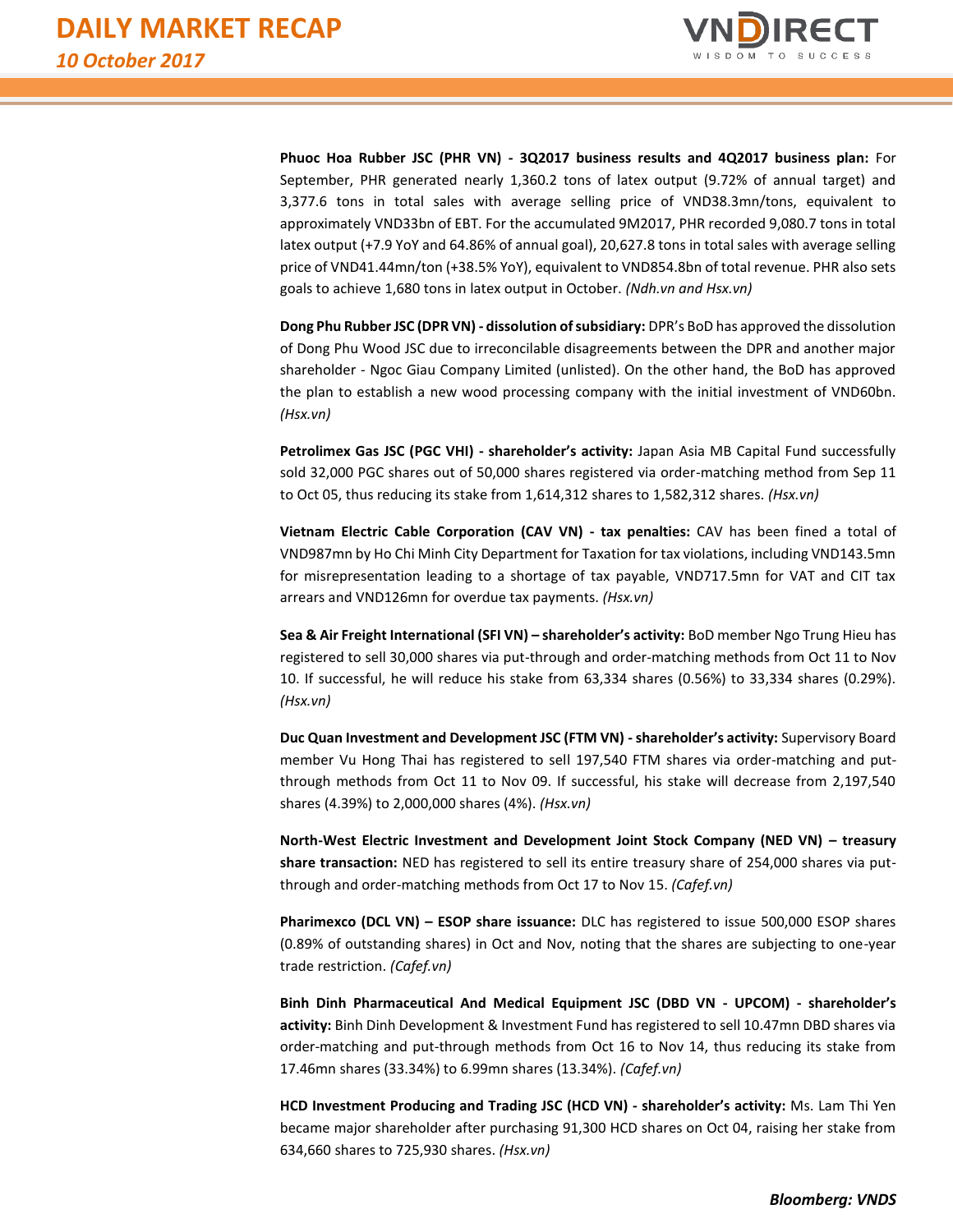

**Phuoc Hoa Rubber JSC (PHR VN) - 3Q2017 business results and 4Q2017 business plan:** For September, PHR generated nearly 1,360.2 tons of latex output (9.72% of annual target) and 3,377.6 tons in total sales with average selling price of VND38.3mn/tons, equivalent to approximately VND33bn of EBT. For the accumulated 9M2017, PHR recorded 9,080.7 tons in total latex output (+7.9 YoY and 64.86% of annual goal), 20,627.8 tons in total sales with average selling price of VND41.44mn/ton (+38.5% YoY), equivalent to VND854.8bn of total revenue. PHR also sets goals to achieve 1,680 tons in latex output in October. *(Ndh.vn and Hsx.vn)*

**Dong Phu Rubber JSC (DPR VN) - dissolution of subsidiary:** DPR's BoD has approved the dissolution of Dong Phu Wood JSC due to irreconcilable disagreements between the DPR and another major shareholder - Ngoc Giau Company Limited (unlisted). On the other hand, the BoD has approved the plan to establish a new wood processing company with the initial investment of VND60bn. *(Hsx.vn)*

**Petrolimex Gas JSC (PGC VHI) - shareholder's activity:** Japan Asia MB Capital Fund successfully sold 32,000 PGC shares out of 50,000 shares registered via order-matching method from Sep 11 to Oct 05, thus reducing its stake from 1,614,312 shares to 1,582,312 shares. *(Hsx.vn)*

**Vietnam Electric Cable Corporation (CAV VN) - tax penalties:** CAV has been fined a total of VND987mn by Ho Chi Minh City Department for Taxation for tax violations, including VND143.5mn for misrepresentation leading to a shortage of tax payable, VND717.5mn for VAT and CIT tax arrears and VND126mn for overdue tax payments. *(Hsx.vn)*

**Sea & Air Freight International (SFI VN) – shareholder's activity:** BoD member Ngo Trung Hieu has registered to sell 30,000 shares via put-through and order-matching methods from Oct 11 to Nov 10. If successful, he will reduce his stake from 63,334 shares (0.56%) to 33,334 shares (0.29%). *(Hsx.vn)*

**Duc Quan Investment and Development JSC (FTM VN) -shareholder's activity:** Supervisory Board member Vu Hong Thai has registered to sell 197,540 FTM shares via order-matching and putthrough methods from Oct 11 to Nov 09. If successful, his stake will decrease from 2,197,540 shares (4.39%) to 2,000,000 shares (4%). *(Hsx.vn)*

**North-West Electric Investment and Development Joint Stock Company (NED VN) – treasury share transaction:** NED has registered to sell its entire treasury share of 254,000 shares via putthrough and order-matching methods from Oct 17 to Nov 15. *(Cafef.vn)*

**Pharimexco (DCL VN) – ESOP share issuance:** DLC has registered to issue 500,000 ESOP shares (0.89% of outstanding shares) in Oct and Nov, noting that the shares are subjecting to one-year trade restriction. *(Cafef.vn)*

**Binh Dinh Pharmaceutical And Medical Equipment JSC (DBD VN - UPCOM) - shareholder's activity:** Binh Dinh Development & Investment Fund has registered to sell 10.47mn DBD shares via order-matching and put-through methods from Oct 16 to Nov 14, thus reducing its stake from 17.46mn shares (33.34%) to 6.99mn shares (13.34%). *(Cafef.vn)*

**HCD Investment Producing and Trading JSC (HCD VN) - shareholder's activity:** Ms. Lam Thi Yen became major shareholder after purchasing 91,300 HCD shares on Oct 04, raising her stake from 634,660 shares to 725,930 shares. *(Hsx.vn)*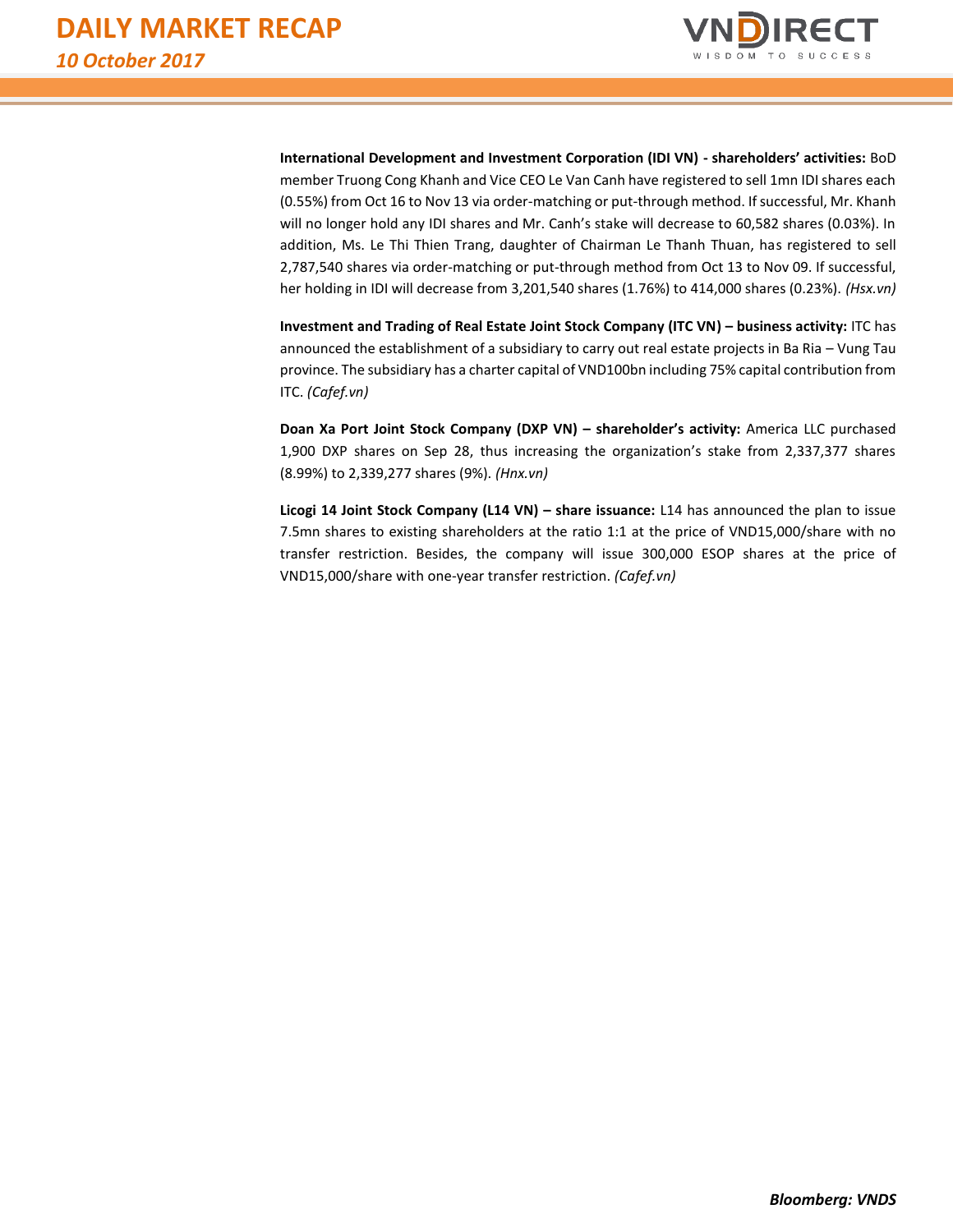

**International Development and Investment Corporation (IDI VN) - shareholders' activities:** BoD member Truong Cong Khanh and Vice CEO Le Van Canh have registered to sell 1mn IDI shares each (0.55%) from Oct 16 to Nov 13 via order-matching or put-through method. If successful, Mr. Khanh will no longer hold any IDI shares and Mr. Canh's stake will decrease to 60,582 shares (0.03%). In addition, Ms. Le Thi Thien Trang, daughter of Chairman Le Thanh Thuan, has registered to sell 2,787,540 shares via order-matching or put-through method from Oct 13 to Nov 09. If successful, her holding in IDI will decrease from 3,201,540 shares (1.76%) to 414,000 shares (0.23%). *(Hsx.vn)*

**Investment and Trading of Real Estate Joint Stock Company (ITC VN) – business activity:** ITC has announced the establishment of a subsidiary to carry out real estate projects in Ba Ria – Vung Tau province. The subsidiary has a charter capital of VND100bn including 75% capital contribution from ITC. *(Cafef.vn)*

**Doan Xa Port Joint Stock Company (DXP VN) – shareholder's activity:** America LLC purchased 1,900 DXP shares on Sep 28, thus increasing the organization's stake from 2,337,377 shares (8.99%) to 2,339,277 shares (9%). *(Hnx.vn)*

**Licogi 14 Joint Stock Company (L14 VN) – share issuance:** L14 has announced the plan to issue 7.5mn shares to existing shareholders at the ratio 1:1 at the price of VND15,000/share with no transfer restriction. Besides, the company will issue 300,000 ESOP shares at the price of VND15,000/share with one-year transfer restriction. *(Cafef.vn)*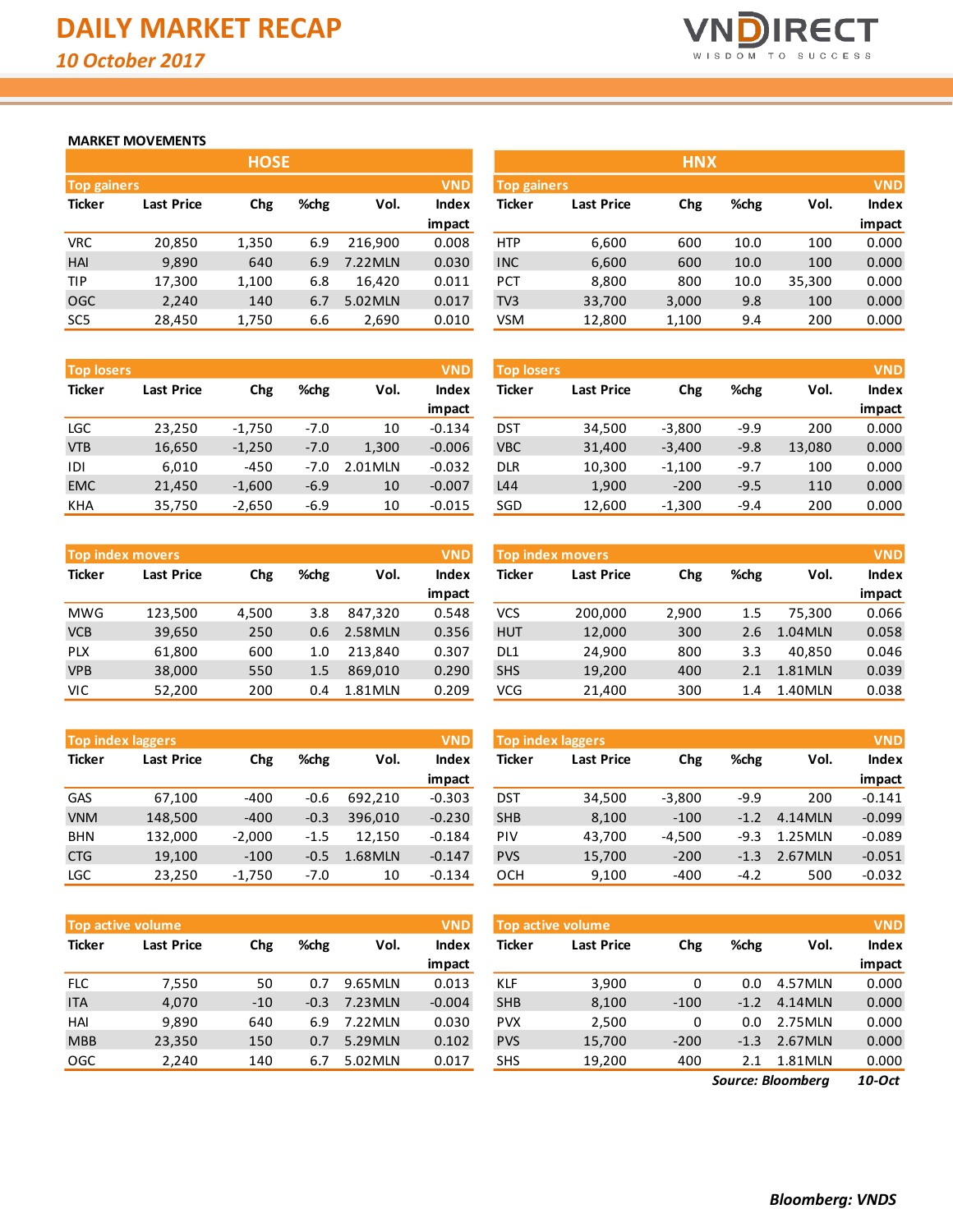

# **MARKET MOVEMENTS**

|                    | <b>HOSE</b>       |       |      |         |              |  |  |  |  |  |  |  |  |
|--------------------|-------------------|-------|------|---------|--------------|--|--|--|--|--|--|--|--|
| <b>Top gainers</b> |                   |       |      |         | <b>VND</b>   |  |  |  |  |  |  |  |  |
| <b>Ticker</b>      | <b>Last Price</b> | Chg   | %chg | Vol.    | <b>Index</b> |  |  |  |  |  |  |  |  |
|                    |                   |       |      |         | impact       |  |  |  |  |  |  |  |  |
| VRC                | 20,850            | 1,350 | 6.9  | 216,900 | 0.008        |  |  |  |  |  |  |  |  |
| HAI                | 9,890             | 640   | 6.9  | 7.22MLN | 0.030        |  |  |  |  |  |  |  |  |
| TIP                | 17,300            | 1,100 | 6.8  | 16,420  | 0.011        |  |  |  |  |  |  |  |  |
| OGC                | 2,240             | 140   | 6.7  | 5.02MLN | 0.017        |  |  |  |  |  |  |  |  |
| SC <sub>5</sub>    | 28,450            | 1,750 | 6.6  | 2,690   | 0.010        |  |  |  |  |  |  |  |  |

| <b>Top losers</b> |                   |          |        |         | <b>VND</b>   |
|-------------------|-------------------|----------|--------|---------|--------------|
| <b>Ticker</b>     | <b>Last Price</b> | Chg      | %chg   | Vol.    | <b>Index</b> |
|                   |                   |          |        |         | impact       |
| LGC               | 23,250            | $-1,750$ | $-7.0$ | 10      | $-0.134$     |
| <b>VTB</b>        | 16,650            | $-1,250$ | $-7.0$ | 1,300   | $-0.006$     |
| IDI               | 6,010             | $-450$   | $-7.0$ | 2.01MLN | $-0.032$     |
| <b>EMC</b>        | 21,450            | $-1,600$ | $-6.9$ | 10      | $-0.007$     |
| KHA               | 35,750            | $-2,650$ | $-6.9$ | 10      | $-0.015$     |

|               | <b>Top index movers</b> |       |      |         | <b>VND</b>   |
|---------------|-------------------------|-------|------|---------|--------------|
| <b>Ticker</b> | <b>Last Price</b>       | Chg   | %chg | Vol.    | <b>Index</b> |
|               |                         |       |      |         | impact       |
| <b>MWG</b>    | 123,500                 | 4,500 | 3.8  | 847,320 | 0.548        |
| <b>VCB</b>    | 39,650                  | 250   | 0.6  | 2.58MLN | 0.356        |
| <b>PLX</b>    | 61,800                  | 600   | 1.0  | 213,840 | 0.307        |
| <b>VPB</b>    | 38,000                  | 550   | 1.5  | 869,010 | 0.290        |
| VIC           | 52,200                  | 200   | 0.4  | 1.81MLN | 0.209        |

|               | <b>Top index laggers</b> |          |        |         | <b>VND</b>   |
|---------------|--------------------------|----------|--------|---------|--------------|
| <b>Ticker</b> | <b>Last Price</b>        | Chg      | %chg   | Vol.    | <b>Index</b> |
|               |                          |          |        |         | impact       |
| GAS           | 67,100                   | -400     | $-0.6$ | 692,210 | $-0.303$     |
| <b>VNM</b>    | 148,500                  | $-400$   | $-0.3$ | 396,010 | $-0.230$     |
| <b>BHN</b>    | 132,000                  | $-2,000$ | $-1.5$ | 12,150  | $-0.184$     |
| <b>CTG</b>    | 19,100                   | $-100$   | $-0.5$ | 1.68MLN | $-0.147$     |
| <b>LGC</b>    | 23,250                   | $-1,750$ | $-7.0$ | 10      | $-0.134$     |

|               | <b>Top active volume</b> |       |        |         | <b>VND</b>   |
|---------------|--------------------------|-------|--------|---------|--------------|
| <b>Ticker</b> | <b>Last Price</b>        | Chg   | %chg   | Vol.    | <b>Index</b> |
|               |                          |       |        |         | impact       |
| <b>FLC</b>    | 7,550                    | 50    | 0.7    | 9.65MLN | 0.013        |
| <b>ITA</b>    | 4,070                    | $-10$ | $-0.3$ | 7.23MLN | $-0.004$     |
| HAI           | 9,890                    | 640   | 6.9    | 7.22MLN | 0.030        |
| <b>MBB</b>    | 23,350                   | 150   | 0.7    | 5.29MLN | 0.102        |
| OGC           | 2,240                    | 140   | 6.7    | 5.02MLN | 0.017        |

| <b>Top gainers</b> |       |      |             | <b>VND</b>   |            |                   |                    |      |            | <b>VND</b>   |
|--------------------|-------|------|-------------|--------------|------------|-------------------|--------------------|------|------------|--------------|
| <b>Last Price</b>  | Chg   | %chg | Vol.        | <b>Index</b> | Ticker     | <b>Last Price</b> | Chg                | %chg | Vol.       | <b>Index</b> |
|                    |       |      |             | impact       |            |                   |                    |      |            | impact       |
| 20,850             | 1,350 | 6.9  | 216.900     | 0.008        | <b>HTP</b> | 6,600             | 600                | 10.0 | 100        | 0.000        |
| 9,890              | 640   | 6.9  | 7.22MLN     | 0.030        | <b>INC</b> | 6,600             | 600                | 10.0 | 100        | 0.000        |
| 17,300             | 1,100 | 6.8  | 16,420      | 0.011        | <b>PCT</b> | 8,800             | 800                | 10.0 | 35,300     | 0.000        |
| 2,240              | 140   | 6.7  | 5.02MLN     | 0.017        | TV3        | 33,700            | 3,000              | 9.8  | 100        | 0.000        |
| 28,450             | 1,750 | 6.6  | 2,690       | 0.010        | <b>VSM</b> | 12,800            | 1,100              | 9.4  | 200        | 0.000        |
|                    |       |      | <b>HOSE</b> |              |            |                   | <b>Top gainers</b> |      | <b>HNX</b> |              |

| <b>Top losers</b> |                   |          |        |         |          |            | <b>VND</b><br><b>Top losers</b> |          |        |        |        |
|-------------------|-------------------|----------|--------|---------|----------|------------|---------------------------------|----------|--------|--------|--------|
| Ticker            | <b>Last Price</b> | Chg      | %chg   | Vol.    | Index    | Ticker     | <b>Last Price</b>               | Chg      | %chg   | Vol.   | Index  |
|                   |                   |          |        |         | impact   |            |                                 |          |        |        | impact |
| LGC               | 23,250            | $-1,750$ | $-7.0$ | 10      | $-0.134$ | <b>DST</b> | 34,500                          | $-3,800$ | $-9.9$ | 200    | 0.000  |
| <b>VTB</b>        | 16,650            | $-1,250$ | $-7.0$ | 1,300   | $-0.006$ | <b>VBC</b> | 31,400                          | $-3.400$ | $-9.8$ | 13,080 | 0.000  |
| IDI               | 6.010             | $-450$   | -7.0   | 2.01MLN | $-0.032$ | <b>DLR</b> | 10,300                          | $-1,100$ | $-9.7$ | 100    | 0.000  |
| <b>EMC</b>        | 21,450            | $-1,600$ | $-6.9$ | 10      | $-0.007$ | L44        | 1,900                           | $-200$   | $-9.5$ | 110    | 0.000  |
| KHA               | 35,750            | $-2,650$ | $-6.9$ | 10      | $-0.015$ | SGD        | 12,600                          | $-1,300$ | $-9.4$ | 200    | 0.000  |

| <b>Top index movers</b> |                   |       |      |         | <b>VND</b>   |                 | <b>Top index movers</b> |       |      |         | <b>VND</b>   |
|-------------------------|-------------------|-------|------|---------|--------------|-----------------|-------------------------|-------|------|---------|--------------|
| Ticker                  | <b>Last Price</b> | Chg   | %chg | Vol.    | <b>Index</b> | Ticker          | <b>Last Price</b>       | Chg   | %chg | Vol.    | <b>Index</b> |
|                         |                   |       |      |         | impact       |                 |                         |       |      |         | impact       |
| MWG                     | 123,500           | 4,500 | 3.8  | 847.320 | 0.548        | VCS             | 200,000                 | 2,900 | 1.5  | 75.300  | 0.066        |
| <b>VCB</b>              | 39,650            | 250   | 0.6  | 2.58MLN | 0.356        | <b>HUT</b>      | 12,000                  | 300   | 2.6  | 1.04MLN | 0.058        |
| PLX                     | 61,800            | 600   | 1.0  | 213.840 | 0.307        | DL <sub>1</sub> | 24,900                  | 800   | 3.3  | 40.850  | 0.046        |
| <b>VPB</b>              | 38,000            | 550   | 1.5  | 869.010 | 0.290        | <b>SHS</b>      | 19,200                  | 400   | 2.1  | 1.81MLN | 0.039        |
| VIC                     | 52,200            | 200   | 0.4  | 1.81MLN | 0.209        | VCG             | 21,400                  | 300   | 1.4  | 1.40MLN | 0.038        |

| <b>Top index laggers</b> |                   |          |        |         | <b>VND</b> | <b>Top index laggers</b> |                   |          |        |         |          |  |
|--------------------------|-------------------|----------|--------|---------|------------|--------------------------|-------------------|----------|--------|---------|----------|--|
| Ticker                   | <b>Last Price</b> | Chg      | %chg   | Vol.    | Index      | Ticker                   | <b>Last Price</b> | Chg      | %chg   | Vol.    | Index    |  |
|                          |                   |          |        |         | impact     |                          |                   |          |        |         | impact   |  |
| GAS                      | 67.100            | $-400$   | $-0.6$ | 692.210 | $-0.303$   | <b>DST</b>               | 34.500            | $-3,800$ | $-9.9$ | 200     | $-0.141$ |  |
| <b>VNM</b>               | 148,500           | $-400$   | $-0.3$ | 396.010 | $-0.230$   | <b>SHB</b>               | 8,100             | $-100$   | $-1.2$ | 4.14MLN | $-0.099$ |  |
| <b>BHN</b>               | 132.000           | $-2.000$ | $-1.5$ | 12.150  | $-0.184$   | <b>PIV</b>               | 43.700            | $-4.500$ | -9.3   | 1.25MLN | $-0.089$ |  |
| <b>CTG</b>               | 19,100            | $-100$   | $-0.5$ | 1.68MLN | $-0.147$   | <b>PVS</b>               | 15,700            | $-200$   | $-1.3$ | 2.67MLN | $-0.051$ |  |
| LGC                      | 23,250            | $-1,750$ | $-7.0$ | 10      | $-0.134$   | <b>OCH</b>               | 9,100             | $-400$   | $-4.2$ | 500     | $-0.032$ |  |

| <b>VND</b><br><b>Top active volume</b> |                   |       |        |         |          | Top active volume |                   | <b>VND</b> |        |         |        |
|----------------------------------------|-------------------|-------|--------|---------|----------|-------------------|-------------------|------------|--------|---------|--------|
| Ticker                                 | <b>Last Price</b> | Chg   | %chg   | Vol.    | Index    | Ticker            | <b>Last Price</b> | Chg        | %chg   | Vol.    | Index  |
|                                        |                   |       |        |         | impact   |                   |                   |            |        |         | impact |
| <b>FLC</b>                             | 7,550             | 50    | 0.7    | 9.65MLN | 0.013    | <b>KLF</b>        | 3,900             | 0          | 0.0    | 4.57MLN | 0.000  |
| <b>ITA</b>                             | 4,070             | $-10$ | $-0.3$ | 7.23MLN | $-0.004$ | <b>SHB</b>        | 8,100             | $-100$     | $-1.2$ | 4.14MLN | 0.000  |
| HAI                                    | 9,890             | 640   | 6.9    | 7.22MLN | 0.030    | <b>PVX</b>        | 2,500             | 0          | 0.0    | 2.75MLN | 0.000  |
| <b>MBB</b>                             | 23,350            | 150   | 0.7    | 5.29MLN | 0.102    | <b>PVS</b>        | 15,700            | $-200$     | $-1.3$ | 2.67MLN | 0.000  |
| OGC                                    | 2,240             | 140   | 6.7    | 5.02MLN | 0.017    | <b>SHS</b>        | 19,200            | 400        | 2.1    | 1.81MLN | 0.000  |

*10-Oct Source: Bloomberg*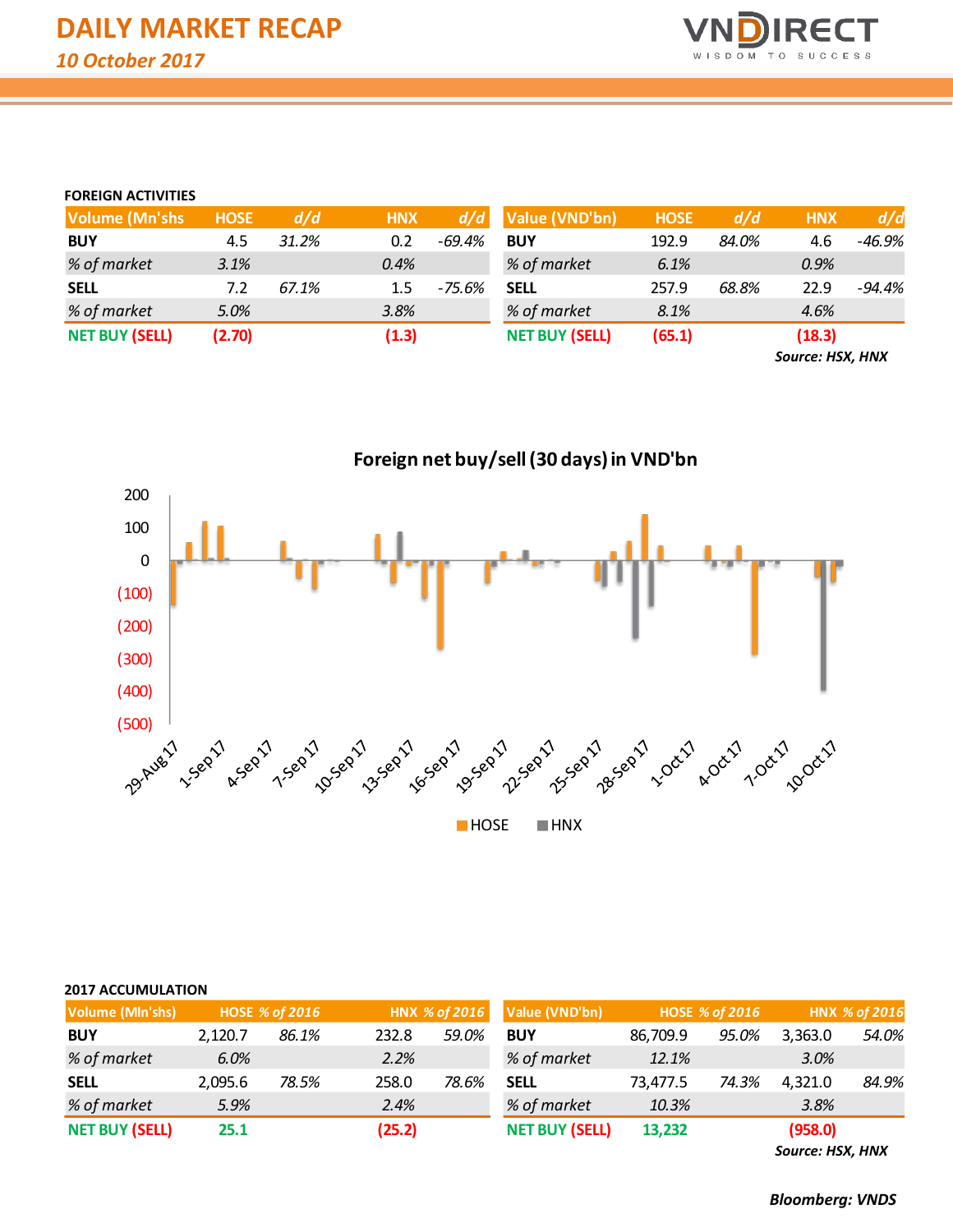

# **FOREIGN ACTIVITIES**

| <b>Volume (Mn'shs</b> | <b>HOSE</b> | d/d   | <b>HNX</b> | d/d      | Value (VND'bn)        | <b>HOSE</b> | d/d   | <b>HNX</b> | d/d      |
|-----------------------|-------------|-------|------------|----------|-----------------------|-------------|-------|------------|----------|
| <b>BUY</b>            | 4.5         | 31.2% | 0.2        | $-69.4%$ | <b>BUY</b>            | 192.9       | 84.0% | 4.6        | -46.9%   |
| % of market           | 3.1%        |       | $0.4\%$    |          | % of market           | 6.1%        |       | $0.9\%$    |          |
| <b>SELL</b>           | 7.2         | 67.1% | $1.5\,$    | -75.6%   | <b>SELL</b>           | 257.9       | 68.8% | 22.9       | $-94.4%$ |
| % of market           | 5.0%        |       | 3.8%       |          | % of market           | 8.1%        |       | 4.6%       |          |
| <b>NET BUY (SELL)</b> | (2.70)      |       | (1.3)      |          | <b>NET BUY (SELL)</b> | (65.1)      |       | (18.3)     |          |

*Source: HSX, HNX*

**Foreign net buy/sell (30 days) in VND'bn** 200 100 0 (100) (200) (300) (400) (500) **HOSE HNX** 

| <b>2017 ACCUMULATION</b> |                |                |       |                       |                |          |                       |                  |       |  |
|--------------------------|----------------|----------------|-------|-----------------------|----------------|----------|-----------------------|------------------|-------|--|
| Volume (Mln'shs)         |                | HOSE % of 2016 |       | HNX % of 2016         | Value (VND'bn) |          | <b>HOSE % of 2016</b> | HNX % of 2016    |       |  |
| <b>BUY</b>               | 2.120.7        | 86.1%          | 232.8 | 59.0%                 | <b>BUY</b>     | 86,709.9 | 95.0%                 | 3,363.0          | 54.0% |  |
| % of market              | 6.0%           |                | 2.2%  |                       | % of market    | 12.1%    |                       | 3.0%             |       |  |
| <b>SELL</b>              | 2,095.6        | 78.5%          | 258.0 | 78.6%                 | <b>SELL</b>    | 73,477.5 | 74.3%                 | 4,321.0          | 84.9% |  |
| % of market              | 5.9%           |                | 2.4%  |                       | % of market    | 10.3%    |                       | 3.8%             |       |  |
| <b>NET BUY (SELL)</b>    | (25.2)<br>25.1 |                |       | <b>NET BUY (SELL)</b> | 13,232         |          | (958.0)               |                  |       |  |
|                          |                |                |       |                       |                |          |                       | Source: HSX, HNX |       |  |

*Bloomberg: VNDS*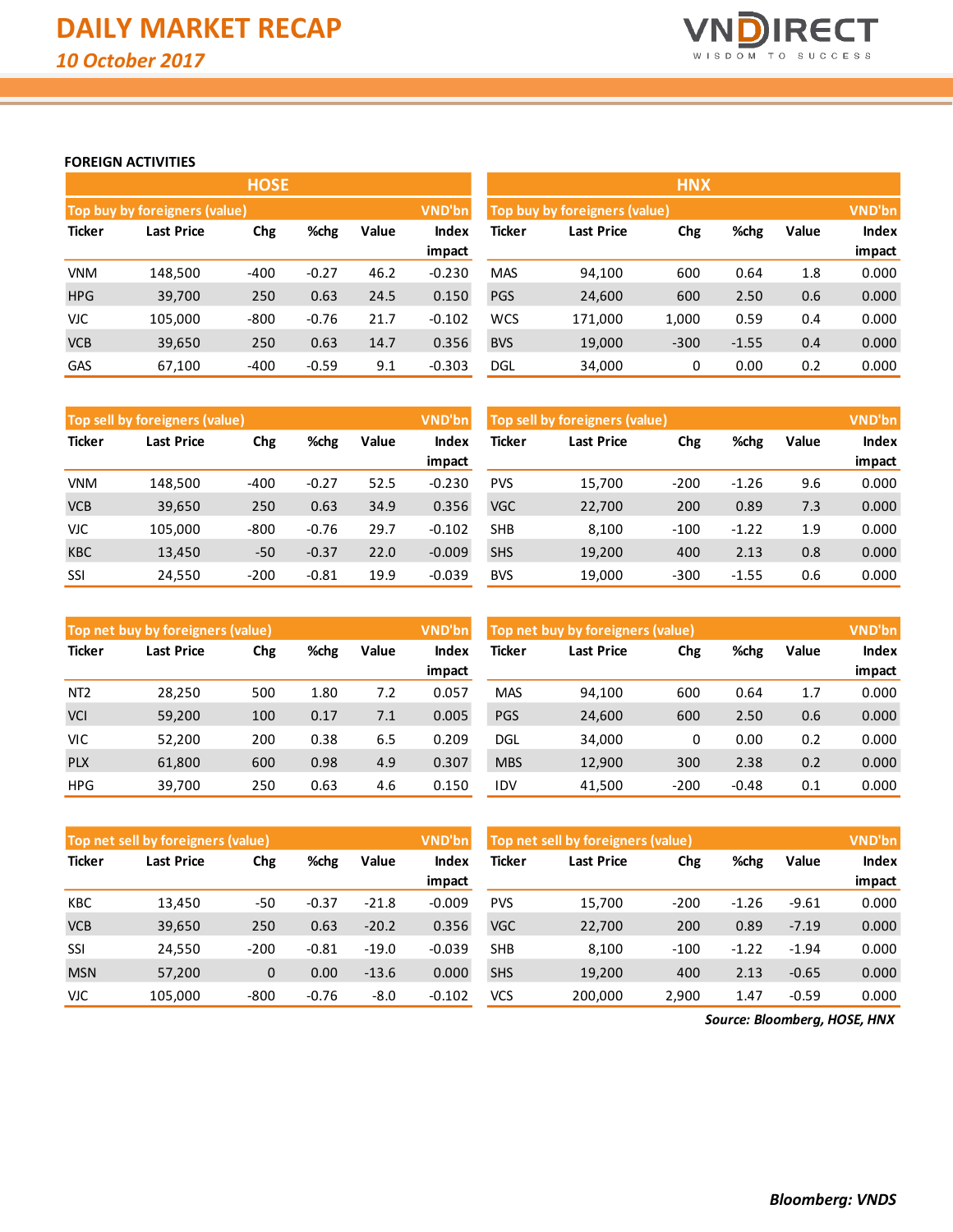

#### **FOREIGN ACTIVITIES**

|               |                                      | <b>HOSE</b> |         |       |          |            |                               | <b>HNX</b> |         |       |               |
|---------------|--------------------------------------|-------------|---------|-------|----------|------------|-------------------------------|------------|---------|-------|---------------|
|               | <b>Top buy by foreigners (value)</b> |             |         |       | VND'bn   |            | Top buy by foreigners (value) |            |         |       | <b>VND'bn</b> |
| <b>Ticker</b> | Last Price                           | Chg         | %chg    | Value | Index    | Ticker     | <b>Last Price</b>             | Chg        | %chg    | Value | <b>Index</b>  |
|               |                                      |             |         |       | impact   |            |                               |            |         |       | impact        |
| <b>VNM</b>    | 148.500                              | $-400$      | $-0.27$ | 46.2  | $-0.230$ | <b>MAS</b> | 94,100                        | 600        | 0.64    | 1.8   | 0.000         |
| <b>HPG</b>    | 39,700                               | 250         | 0.63    | 24.5  | 0.150    | <b>PGS</b> | 24,600                        | 600        | 2.50    | 0.6   | 0.000         |
| <b>VJC</b>    | 105.000                              | $-800$      | $-0.76$ | 21.7  | $-0.102$ | <b>WCS</b> | 171.000                       | 1,000      | 0.59    | 0.4   | 0.000         |
| <b>VCB</b>    | 39,650                               | 250         | 0.63    | 14.7  | 0.356    | <b>BVS</b> | 19,000                        | $-300$     | $-1.55$ | 0.4   | 0.000         |
| GAS           | 67.100                               | $-400$      | $-0.59$ | 9.1   | $-0.303$ | <b>DGL</b> | 34,000                        | 0          | 0.00    | 0.2   | 0.000         |

|               | Top sell by foreigners (value) |             |         |       | VND'bn   | Top sell by foreigners (value), | <b>VND'bn</b>     |        |         |       |              |
|---------------|--------------------------------|-------------|---------|-------|----------|---------------------------------|-------------------|--------|---------|-------|--------------|
| <b>Ticker</b> | Last Price                     | %chg<br>Chg |         | Value | Index    | Ticker                          | <b>Last Price</b> | Chg    | %chg    | Value | <b>Index</b> |
|               |                                |             |         |       | impact   |                                 |                   |        |         |       | impact       |
| VNM           | 148.500                        | $-400$      | $-0.27$ | 52.5  | $-0.230$ | <b>PVS</b>                      | 15.700            | $-200$ | $-1.26$ | 9.6   | 0.000        |
| <b>VCB</b>    | 39,650                         | 250         | 0.63    | 34.9  | 0.356    | <b>VGC</b>                      | 22,700            | 200    | 0.89    | 7.3   | 0.000        |
| <b>VJC</b>    | 105.000                        | $-800$      | $-0.76$ | 29.7  | $-0.102$ | <b>SHB</b>                      | 8.100             | $-100$ | $-1.22$ | 1.9   | 0.000        |
| <b>KBC</b>    | 13,450                         | $-50$       | $-0.37$ | 22.0  | $-0.009$ | <b>SHS</b>                      | 19,200            | 400    | 2.13    | 0.8   | 0.000        |
| SSI           | 24,550                         | $-200$      | $-0.81$ | 19.9  | $-0.039$ | <b>BVS</b>                      | 19,000            | $-300$ | $-1.55$ | 0.6   | 0.000        |

|                 | Top net buy by foreigners (value) |     |       |       | VND'bn                      | Top net buy by foreigners (value) |        | VND'bn |         |       |        |
|-----------------|-----------------------------------|-----|-------|-------|-----------------------------|-----------------------------------|--------|--------|---------|-------|--------|
| <b>Ticker</b>   | %chg<br>Chg<br>Last Price         |     | Value | Index | Ticker<br>Chg<br>Last Price |                                   |        | %chg   | Value   | Index |        |
|                 |                                   |     |       |       | impact                      |                                   |        |        |         |       | impact |
| NT <sub>2</sub> | 28.250                            | 500 | 1.80  | 7.2   | 0.057                       | <b>MAS</b>                        | 94.100 | 600    | 0.64    | 1.7   | 0.000  |
| <b>VCI</b>      | 59,200                            | 100 | 0.17  | 7.1   | 0.005                       | <b>PGS</b>                        | 24,600 | 600    | 2.50    | 0.6   | 0.000  |
| VIC.            | 52,200                            | 200 | 0.38  | 6.5   | 0.209                       | DGL                               | 34,000 | 0      | 0.00    | 0.2   | 0.000  |
| <b>PLX</b>      | 61,800                            | 600 | 0.98  | 4.9   | 0.307                       | <b>MBS</b>                        | 12,900 | 300    | 2.38    | 0.2   | 0.000  |
| <b>HPG</b>      | 39,700                            | 250 | 0.63  | 4.6   | 0.150                       | IDV                               | 41,500 | $-200$ | $-0.48$ | 0.1   | 0.000  |

|               | Top net sell by foreigners (value) |              |         |         | <b>VND'bn</b> | Top net sell by foreigners (value) | <b>VND'bn</b>     |        |         |         |              |
|---------------|------------------------------------|--------------|---------|---------|---------------|------------------------------------|-------------------|--------|---------|---------|--------------|
| <b>Ticker</b> | Last Price                         | Chg          | %chg    | Value   | Index         | Ticker                             | <b>Last Price</b> | Chg    | %chg    | Value   | <b>Index</b> |
|               |                                    |              |         |         | impact        |                                    |                   |        |         |         | impact       |
| <b>KBC</b>    | 13,450                             | -50          | $-0.37$ | $-21.8$ | $-0.009$      | <b>PVS</b>                         | 15.700            | $-200$ | $-1.26$ | $-9.61$ | 0.000        |
| <b>VCB</b>    | 39,650                             | 250          | 0.63    | $-20.2$ | 0.356         | <b>VGC</b>                         | 22,700            | 200    | 0.89    | $-7.19$ | 0.000        |
| SSI           | 24.550                             | $-200$       | $-0.81$ | $-19.0$ | $-0.039$      | <b>SHB</b>                         | 8.100             | $-100$ | $-1.22$ | $-1.94$ | 0.000        |
| <b>MSN</b>    | 57,200                             | $\mathbf{0}$ | 0.00    | $-13.6$ | 0.000         | <b>SHS</b>                         | 19,200            | 400    | 2.13    | $-0.65$ | 0.000        |
| <b>VJC</b>    | 105,000                            | $-800$       | $-0.76$ | $-8.0$  | $-0.102$      | <b>VCS</b>                         | 200.000           | 2,900  | 1.47    | $-0.59$ | 0.000        |

*Source: Bloomberg, HOSE, HNX*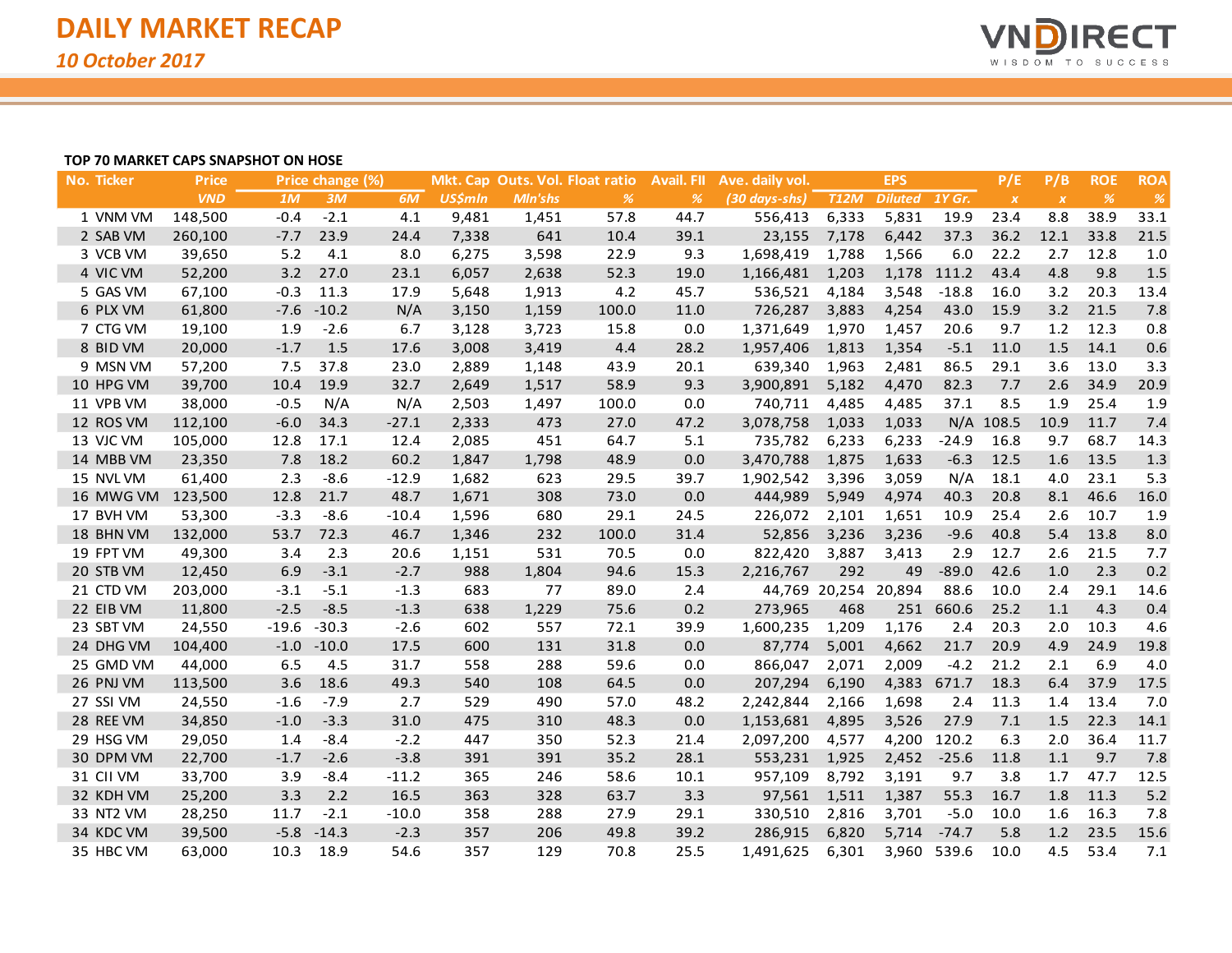

## **TOP 70 MARKET CAPS SNAPSHOT ON HOSE**

| No. Ticker | <b>Price</b> |         | Price change (%) |         |                |                | Mkt. Cap Outs. Vol. Float ratio | <b>Avail. FII</b> | Ave. daily vol. |                      | <b>EPS</b>     |             | P/E              | P/B              | <b>ROE</b>    | <b>ROA</b> |
|------------|--------------|---------|------------------|---------|----------------|----------------|---------------------------------|-------------------|-----------------|----------------------|----------------|-------------|------------------|------------------|---------------|------------|
|            | <b>VND</b>   | 1M      | 3M               | 6M      | <b>US\$mln</b> | <b>MIn'shs</b> | $\frac{9}{6}$                   | %                 | (30 days-shs)   | <b>T12M</b>          | Diluted 1Y Gr. |             | $\boldsymbol{X}$ | $\boldsymbol{X}$ | $\frac{9}{6}$ | %          |
| 1 VNM VM   | 148,500      | $-0.4$  | $-2.1$           | 4.1     | 9,481          | 1,451          | 57.8                            | 44.7              | 556,413         | 6,333                | 5,831          | 19.9        | 23.4             | 8.8              | 38.9          | 33.1       |
| 2 SAB VM   | 260,100      | $-7.7$  | 23.9             | 24.4    | 7,338          | 641            | 10.4                            | 39.1              | 23,155          | 7,178                | 6,442          | 37.3        | 36.2             | 12.1             | 33.8          | 21.5       |
| 3 VCB VM   | 39,650       | 5.2     | 4.1              | 8.0     | 6,275          | 3,598          | 22.9                            | 9.3               | 1,698,419       | 1,788                | 1,566          | 6.0         | 22.2             | 2.7              | 12.8          | 1.0        |
| 4 VIC VM   | 52,200       | 3.2     | 27.0             | 23.1    | 6,057          | 2,638          | 52.3                            | 19.0              | 1,166,481       | 1,203                |                | 1,178 111.2 | 43.4             | 4.8              | 9.8           | 1.5        |
| 5 GAS VM   | 67,100       | $-0.3$  | 11.3             | 17.9    | 5,648          | 1,913          | 4.2                             | 45.7              | 536,521         | 4,184                | 3,548          | $-18.8$     | 16.0             | 3.2              | 20.3          | 13.4       |
| 6 PLX VM   | 61,800       | $-7.6$  | $-10.2$          | N/A     | 3,150          | 1,159          | 100.0                           | 11.0              | 726,287         | 3,883                | 4,254          | 43.0        | 15.9             | 3.2              | 21.5          | 7.8        |
| 7 CTG VM   | 19,100       | 1.9     | $-2.6$           | 6.7     | 3,128          | 3,723          | 15.8                            | 0.0               | 1,371,649       | 1,970                | 1,457          | 20.6        | 9.7              | $1.2$            | 12.3          | 0.8        |
| 8 BID VM   | 20,000       | $-1.7$  | 1.5              | 17.6    | 3,008          | 3,419          | 4.4                             | 28.2              | 1,957,406       | 1,813                | 1,354          | $-5.1$      | 11.0             | 1.5              | 14.1          | 0.6        |
| 9 MSN VM   | 57,200       | 7.5     | 37.8             | 23.0    | 2,889          | 1,148          | 43.9                            | 20.1              | 639,340         | 1,963                | 2,481          | 86.5        | 29.1             | 3.6              | 13.0          | 3.3        |
| 10 HPG VM  | 39,700       | 10.4    | 19.9             | 32.7    | 2,649          | 1,517          | 58.9                            | 9.3               | 3,900,891       | 5,182                | 4,470          | 82.3        | 7.7              | 2.6              | 34.9          | 20.9       |
| 11 VPB VM  | 38,000       | $-0.5$  | N/A              | N/A     | 2,503          | 1,497          | 100.0                           | 0.0               | 740,711         | 4,485                | 4,485          | 37.1        | 8.5              | 1.9              | 25.4          | 1.9        |
| 12 ROS VM  | 112,100      | $-6.0$  | 34.3             | $-27.1$ | 2,333          | 473            | 27.0                            | 47.2              | 3,078,758       | 1,033                | 1,033          |             | $N/A$ 108.5      | 10.9             | 11.7          | 7.4        |
| 13 VJC VM  | 105,000      | 12.8    | 17.1             | 12.4    | 2,085          | 451            | 64.7                            | 5.1               | 735,782         | 6,233                | 6,233          | $-24.9$     | 16.8             | 9.7              | 68.7          | 14.3       |
| 14 MBB VM  | 23,350       | 7.8     | 18.2             | 60.2    | 1,847          | 1,798          | 48.9                            | 0.0               | 3,470,788       | 1,875                | 1,633          | $-6.3$      | 12.5             | 1.6              | 13.5          | 1.3        |
| 15 NVL VM  | 61,400       | 2.3     | $-8.6$           | $-12.9$ | 1,682          | 623            | 29.5                            | 39.7              | 1,902,542       | 3,396                | 3,059          | N/A         | 18.1             | 4.0              | 23.1          | 5.3        |
| 16 MWG VM  | 123,500      | 12.8    | 21.7             | 48.7    | 1,671          | 308            | 73.0                            | 0.0               | 444,989         | 5,949                | 4,974          | 40.3        | 20.8             | 8.1              | 46.6          | 16.0       |
| 17 BVH VM  | 53,300       | $-3.3$  | $-8.6$           | $-10.4$ | 1,596          | 680            | 29.1                            | 24.5              | 226,072         | 2,101                | 1,651          | 10.9        | 25.4             | 2.6              | 10.7          | 1.9        |
| 18 BHN VM  | 132,000      | 53.7    | 72.3             | 46.7    | 1,346          | 232            | 100.0                           | 31.4              | 52,856          | 3,236                | 3,236          | $-9.6$      | 40.8             | 5.4              | 13.8          | 8.0        |
| 19 FPT VM  | 49,300       | 3.4     | 2.3              | 20.6    | 1,151          | 531            | 70.5                            | 0.0               | 822,420         | 3,887                | 3,413          | 2.9         | 12.7             | 2.6              | 21.5          | 7.7        |
| 20 STB VM  | 12,450       | 6.9     | $-3.1$           | $-2.7$  | 988            | 1,804          | 94.6                            | 15.3              | 2,216,767       | 292                  | 49             | $-89.0$     | 42.6             | 1.0              | 2.3           | 0.2        |
| 21 CTD VM  | 203,000      | $-3.1$  | $-5.1$           | $-1.3$  | 683            | 77             | 89.0                            | 2.4               |                 | 44,769 20,254 20,894 |                | 88.6        | 10.0             | 2.4              | 29.1          | 14.6       |
| 22 EIB VM  | 11,800       | $-2.5$  | $-8.5$           | $-1.3$  | 638            | 1,229          | 75.6                            | 0.2               | 273,965         | 468                  | 251            | 660.6       | 25.2             | 1.1              | 4.3           | 0.4        |
| 23 SBT VM  | 24,550       | $-19.6$ | $-30.3$          | $-2.6$  | 602            | 557            | 72.1                            | 39.9              | 1,600,235       | 1,209                | 1,176          | 2.4         | 20.3             | 2.0              | 10.3          | 4.6        |
| 24 DHG VM  | 104,400      | $-1.0$  | $-10.0$          | 17.5    | 600            | 131            | 31.8                            | 0.0               | 87,774          | 5,001                | 4,662          | 21.7        | 20.9             | 4.9              | 24.9          | 19.8       |
| 25 GMD VM  | 44,000       | 6.5     | 4.5              | 31.7    | 558            | 288            | 59.6                            | 0.0               | 866,047         | 2,071                | 2,009          | $-4.2$      | 21.2             | 2.1              | 6.9           | 4.0        |
| 26 PNJ VM  | 113,500      | 3.6     | 18.6             | 49.3    | 540            | 108            | 64.5                            | 0.0               | 207,294         | 6,190                | 4,383          | 671.7       | 18.3             | 6.4              | 37.9          | 17.5       |
| 27 SSI VM  | 24,550       | $-1.6$  | $-7.9$           | 2.7     | 529            | 490            | 57.0                            | 48.2              | 2,242,844       | 2,166                | 1,698          | 2.4         | 11.3             | 1.4              | 13.4          | 7.0        |
| 28 REE VM  | 34,850       | $-1.0$  | $-3.3$           | 31.0    | 475            | 310            | 48.3                            | 0.0               | 1,153,681       | 4,895                | 3,526          | 27.9        | 7.1              | 1.5              | 22.3          | 14.1       |
| 29 HSG VM  | 29,050       | 1.4     | $-8.4$           | $-2.2$  | 447            | 350            | 52.3                            | 21.4              | 2,097,200       | 4,577                | 4,200          | 120.2       | 6.3              | 2.0              | 36.4          | 11.7       |
| 30 DPM VM  | 22,700       | $-1.7$  | $-2.6$           | $-3.8$  | 391            | 391            | 35.2                            | 28.1              | 553,231         | 1,925                | 2,452          | $-25.6$     | 11.8             | 1.1              | 9.7           | 7.8        |
| 31 CII VM  | 33,700       | 3.9     | $-8.4$           | $-11.2$ | 365            | 246            | 58.6                            | 10.1              | 957,109         | 8,792                | 3,191          | 9.7         | 3.8              | 1.7              | 47.7          | 12.5       |
| 32 KDH VM  | 25,200       | 3.3     | 2.2              | 16.5    | 363            | 328            | 63.7                            | 3.3               | 97,561          | 1,511                | 1,387          | 55.3        | 16.7             | 1.8              | 11.3          | 5.2        |
| 33 NT2 VM  | 28,250       | 11.7    | $-2.1$           | $-10.0$ | 358            | 288            | 27.9                            | 29.1              | 330,510         | 2,816                | 3,701          | $-5.0$      | 10.0             | 1.6              | 16.3          | 7.8        |
| 34 KDC VM  | 39,500       | $-5.8$  | $-14.3$          | $-2.3$  | 357            | 206            | 49.8                            | 39.2              | 286,915         | 6,820                | 5,714          | $-74.7$     | 5.8              | 1.2              | 23.5          | 15.6       |
| 35 HBC VM  | 63,000       | 10.3    | 18.9             | 54.6    | 357            | 129            | 70.8                            | 25.5              | 1,491,625       | 6,301                |                | 3,960 539.6 | 10.0             | 4.5              | 53.4          | 7.1        |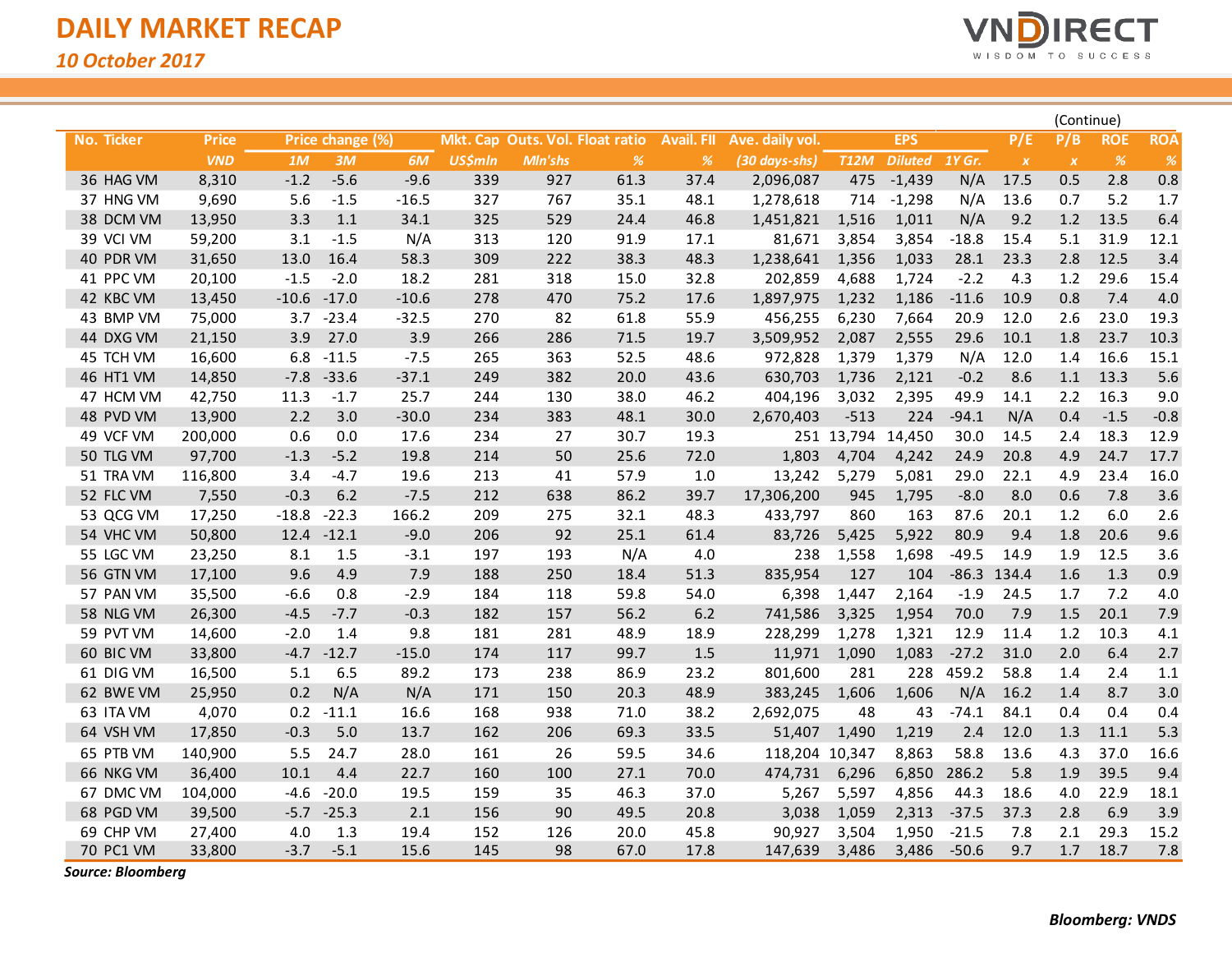

|                   |              |         |                  |         |                |         |                                 |                   |                 |                   |                |         |                  |                  | (Continue) |               |
|-------------------|--------------|---------|------------------|---------|----------------|---------|---------------------------------|-------------------|-----------------|-------------------|----------------|---------|------------------|------------------|------------|---------------|
| <b>No. Ticker</b> | <b>Price</b> |         | Price change (%) |         |                |         | Mkt. Cap Outs. Vol. Float ratio | <b>Avail. FII</b> | Ave. daily vol. |                   | <b>EPS</b>     |         | P/E              | P/B              | <b>ROE</b> | <b>ROA</b>    |
|                   | <b>VND</b>   | 1M      | 3M               | 6M      | <b>US\$mln</b> | Mln'shs | %                               | %                 | (30 days-shs)   | <b>T12M</b>       | Diluted 1Y Gr. |         | $\boldsymbol{X}$ | $\boldsymbol{X}$ | %          | $\frac{9}{6}$ |
| 36 HAG VM         | 8,310        | $-1.2$  | $-5.6$           | $-9.6$  | 339            | 927     | 61.3                            | 37.4              | 2,096,087       | 475               | $-1,439$       | N/A     | 17.5             | 0.5              | 2.8        | 0.8           |
| 37 HNG VM         | 9,690        | 5.6     | $-1.5$           | $-16.5$ | 327            | 767     | 35.1                            | 48.1              | 1,278,618       | 714               | $-1,298$       | N/A     | 13.6             | 0.7              | 5.2        | 1.7           |
| 38 DCM VM         | 13,950       | 3.3     | 1.1              | 34.1    | 325            | 529     | 24.4                            | 46.8              | 1,451,821       | 1,516             | 1,011          | N/A     | 9.2              | 1.2              | 13.5       | 6.4           |
| 39 VCI VM         | 59,200       | 3.1     | $-1.5$           | N/A     | 313            | 120     | 91.9                            | 17.1              | 81,671          | 3,854             | 3,854          | $-18.8$ | 15.4             | 5.1              | 31.9       | 12.1          |
| 40 PDR VM         | 31,650       | 13.0    | 16.4             | 58.3    | 309            | 222     | 38.3                            | 48.3              | 1,238,641       | 1,356             | 1,033          | 28.1    | 23.3             | 2.8              | 12.5       | 3.4           |
| 41 PPC VM         | 20,100       | $-1.5$  | $-2.0$           | 18.2    | 281            | 318     | 15.0                            | 32.8              | 202,859         | 4,688             | 1,724          | $-2.2$  | 4.3              | 1.2              | 29.6       | 15.4          |
| 42 KBC VM         | 13,450       | $-10.6$ | $-17.0$          | $-10.6$ | 278            | 470     | 75.2                            | 17.6              | 1,897,975       | 1,232             | 1,186          | $-11.6$ | 10.9             | 0.8              | 7.4        | 4.0           |
| 43 BMP VM         | 75,000       | 3.7     | $-23.4$          | $-32.5$ | 270            | 82      | 61.8                            | 55.9              | 456,255         | 6,230             | 7,664          | 20.9    | 12.0             | 2.6              | 23.0       | 19.3          |
| 44 DXG VM         | 21,150       | 3.9     | 27.0             | 3.9     | 266            | 286     | 71.5                            | 19.7              | 3,509,952       | 2,087             | 2,555          | 29.6    | 10.1             | 1.8              | 23.7       | 10.3          |
| 45 TCH VM         | 16,600       | 6.8     | $-11.5$          | $-7.5$  | 265            | 363     | 52.5                            | 48.6              | 972,828         | 1,379             | 1,379          | N/A     | 12.0             | 1.4              | 16.6       | 15.1          |
| 46 HT1 VM         | 14,850       | $-7.8$  | $-33.6$          | $-37.1$ | 249            | 382     | 20.0                            | 43.6              | 630,703         | 1,736             | 2,121          | $-0.2$  | 8.6              | 1.1              | 13.3       | 5.6           |
| 47 HCM VM         | 42,750       | 11.3    | $-1.7$           | 25.7    | 244            | 130     | 38.0                            | 46.2              | 404,196         | 3,032             | 2,395          | 49.9    | 14.1             | 2.2              | 16.3       | 9.0           |
| 48 PVD VM         | 13,900       | 2.2     | 3.0              | $-30.0$ | 234            | 383     | 48.1                            | 30.0              | 2,670,403       | $-513$            | 224            | $-94.1$ | N/A              | 0.4              | $-1.5$     | $-0.8$        |
| 49 VCF VM         | 200,000      | 0.6     | 0.0              | 17.6    | 234            | 27      | 30.7                            | 19.3              |                 | 251 13,794 14,450 |                | 30.0    | 14.5             | 2.4              | 18.3       | 12.9          |
| 50 TLG VM         | 97,700       | $-1.3$  | $-5.2$           | 19.8    | 214            | 50      | 25.6                            | 72.0              | 1,803           | 4,704             | 4,242          | 24.9    | 20.8             | 4.9              | 24.7       | 17.7          |
| 51 TRA VM         | 116,800      | 3.4     | $-4.7$           | 19.6    | 213            | 41      | 57.9                            | $1.0$             | 13,242          | 5,279             | 5,081          | 29.0    | 22.1             | 4.9              | 23.4       | 16.0          |
| 52 FLC VM         | 7,550        | $-0.3$  | 6.2              | $-7.5$  | 212            | 638     | 86.2                            | 39.7              | 17,306,200      | 945               | 1,795          | $-8.0$  | 8.0              | 0.6              | 7.8        | 3.6           |
| 53 QCG VM         | 17,250       | $-18.8$ | $-22.3$          | 166.2   | 209            | 275     | 32.1                            | 48.3              | 433,797         | 860               | 163            | 87.6    | 20.1             | 1.2              | 6.0        | 2.6           |
| 54 VHC VM         | 50,800       | 12.4    | $-12.1$          | $-9.0$  | 206            | 92      | 25.1                            | 61.4              | 83,726          | 5,425             | 5,922          | 80.9    | 9.4              | 1.8              | 20.6       | 9.6           |
| 55 LGC VM         | 23,250       | 8.1     | 1.5              | $-3.1$  | 197            | 193     | N/A                             | 4.0               | 238             | 1,558             | 1,698          | $-49.5$ | 14.9             | 1.9              | 12.5       | 3.6           |
| 56 GTN VM         | 17,100       | 9.6     | 4.9              | 7.9     | 188            | 250     | 18.4                            | 51.3              | 835,954         | 127               | 104            |         | $-86.3$ 134.4    | 1.6              | 1.3        | 0.9           |
| 57 PAN VM         | 35,500       | $-6.6$  | 0.8              | $-2.9$  | 184            | 118     | 59.8                            | 54.0              | 6,398           | 1,447             | 2,164          | $-1.9$  | 24.5             | 1.7              | 7.2        | 4.0           |
| 58 NLG VM         | 26,300       | $-4.5$  | $-7.7$           | $-0.3$  | 182            | 157     | 56.2                            | $6.2\,$           | 741,586         | 3,325             | 1,954          | 70.0    | 7.9              | 1.5              | 20.1       | 7.9           |
| 59 PVT VM         | 14,600       | $-2.0$  | 1.4              | 9.8     | 181            | 281     | 48.9                            | 18.9              | 228,299         | 1,278             | 1,321          | 12.9    | 11.4             | 1.2              | 10.3       | 4.1           |
| 60 BIC VM         | 33,800       | $-4.7$  | $-12.7$          | $-15.0$ | 174            | 117     | 99.7                            | 1.5               | 11,971          | 1,090             | 1,083          | $-27.2$ | 31.0             | 2.0              | 6.4        | 2.7           |
| 61 DIG VM         | 16,500       | 5.1     | 6.5              | 89.2    | 173            | 238     | 86.9                            | 23.2              | 801,600         | 281               | 228            | 459.2   | 58.8             | 1.4              | 2.4        | 1.1           |
| 62 BWE VM         | 25,950       | 0.2     | N/A              | N/A     | 171            | 150     | 20.3                            | 48.9              | 383,245         | 1,606             | 1,606          | N/A     | 16.2             | 1.4              | 8.7        | 3.0           |
| 63 ITA VM         | 4,070        | 0.2     | $-11.1$          | 16.6    | 168            | 938     | 71.0                            | 38.2              | 2,692,075       | 48                | 43             | $-74.1$ | 84.1             | 0.4              | 0.4        | 0.4           |
| 64 VSH VM         | 17,850       | $-0.3$  | 5.0              | 13.7    | 162            | 206     | 69.3                            | 33.5              | 51,407          | 1,490             | 1,219          | 2.4     | 12.0             | 1.3              | 11.1       | 5.3           |
| 65 PTB VM         | 140,900      | 5.5     | 24.7             | 28.0    | 161            | 26      | 59.5                            | 34.6              | 118,204 10,347  |                   | 8,863          | 58.8    | 13.6             | 4.3              | 37.0       | 16.6          |
| 66 NKG VM         | 36,400       | 10.1    | 4.4              | 22.7    | 160            | 100     | 27.1                            | 70.0              | 474,731         | 6,296             | 6,850          | 286.2   | 5.8              | 1.9              | 39.5       | 9.4           |
| 67 DMC VM         | 104,000      | $-4.6$  | $-20.0$          | 19.5    | 159            | 35      | 46.3                            | 37.0              | 5,267           | 5,597             | 4,856          | 44.3    | 18.6             | 4.0              | 22.9       | 18.1          |
| 68 PGD VM         | 39,500       | $-5.7$  | $-25.3$          | 2.1     | 156            | 90      | 49.5                            | 20.8              | 3,038           | 1,059             | 2,313          | $-37.5$ | 37.3             | 2.8              | 6.9        | 3.9           |
| 69 CHP VM         | 27,400       | 4.0     | 1.3              | 19.4    | 152            | 126     | 20.0                            | 45.8              | 90,927          | 3,504             | 1,950          | $-21.5$ | 7.8              | 2.1              | 29.3       | 15.2          |
| 70 PC1 VM         | 33,800       | $-3.7$  | $-5.1$           | 15.6    | 145            | 98      | 67.0                            | 17.8              | 147,639         | 3,486             | 3,486          | $-50.6$ | 9.7              | 1.7              | 18.7       | 7.8           |

*Source: Bloomberg*